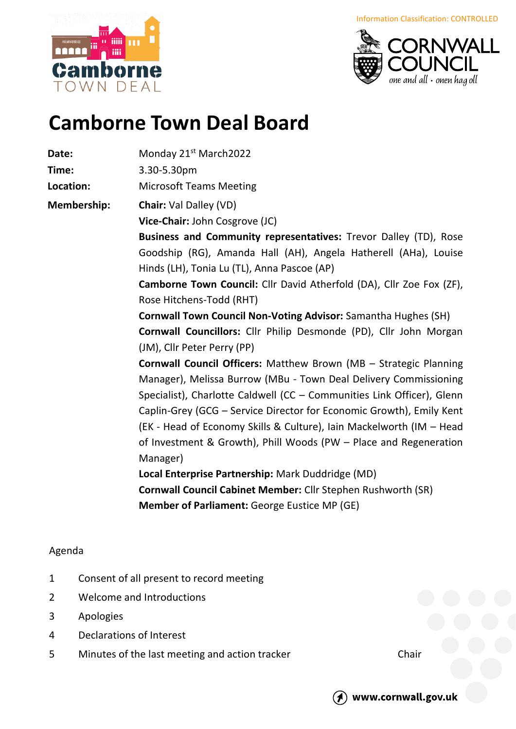Information Classification: CONTROLLED





## **Camborne Town Deal Board**

**Date:** Monday 21<sup>st</sup> March2022

**Time:** 3.30-5.30pm

**Location:** Microsoft Teams Meeting

**Membership: Chair:** Val Dalley (VD)

**Vice-Chair:** John Cosgrove (JC)

**Business and Community representatives:** Trevor Dalley (TD), Rose Goodship (RG), Amanda Hall (AH), Angela Hatherell (AHa), Louise Hinds (LH), Tonia Lu (TL), Anna Pascoe (AP)

**Camborne Town Council:** Cllr David Atherfold (DA), Cllr Zoe Fox (ZF), Rose Hitchens-Todd (RHT)

**Cornwall Town Council Non-Voting Advisor:** Samantha Hughes (SH) **Cornwall Councillors:** Cllr Philip Desmonde (PD), Cllr John Morgan (JM), Cllr Peter Perry (PP)

**Cornwall Council Officers:** Matthew Brown (MB – Strategic Planning Manager), Melissa Burrow (MBu - Town Deal Delivery Commissioning Specialist), Charlotte Caldwell (CC – Communities Link Officer), Glenn Caplin-Grey (GCG – Service Director for Economic Growth), Emily Kent (EK - Head of Economy Skills & Culture), Iain Mackelworth (IM – Head of Investment & Growth), Phill Woods (PW – Place and Regeneration Manager)

**Local Enterprise Partnership:** Mark Duddridge (MD) **Cornwall Council Cabinet Member:** Cllr Stephen Rushworth (SR) **Member of Parliament:** George Eustice MP (GE)

## Agenda

- 1 Consent of all present to record meeting
- 2 Welcome and Introductions
- 3 Apologies
- 4 Declarations of Interest
- 5 Minutes of the last meeting and action tracker Chair



www.cornwall.gov.uk